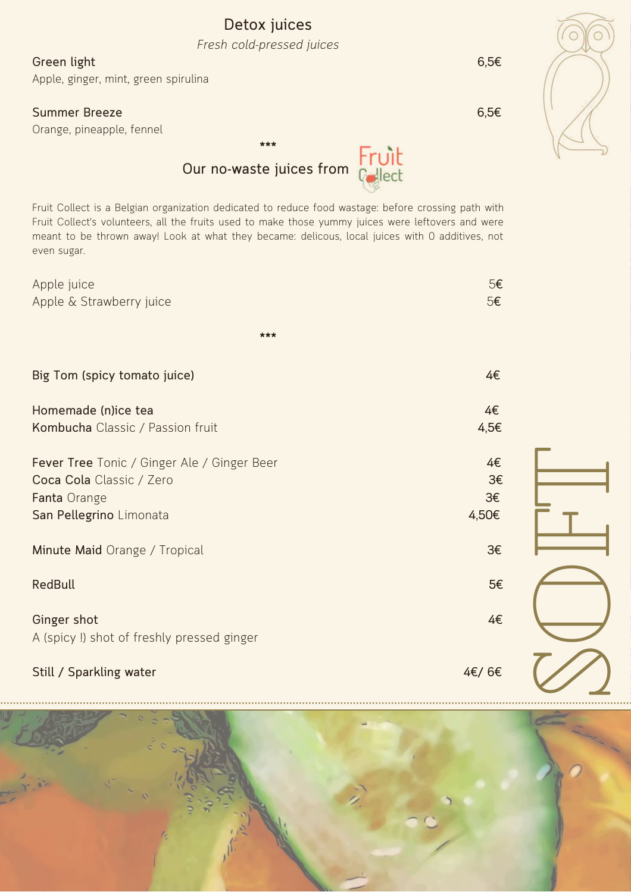## **Detox juices** *Fresh cold-pressed juices*

**Green light 6,5€**

Apple, ginger, mint, green spirulina

## **Summer Breeze 6,5€**

Orange, pineapple, fennel



## **\*\*\*** Fruit<br>Cyliat **Our no-waste juices from**

Fruit Collect is a Belgian organization dedicated to reduce food wastage: before crossing path with Fruit Collect's volunteers, all the fruits used to make those yummy juices were leftovers and were meant to be thrown away! Look at what they became: delicous, local juices with 0 additives, not even sugar.

| Apple juice<br>Apple & Strawberry juice                                                                            | 5€<br>5€                |  |
|--------------------------------------------------------------------------------------------------------------------|-------------------------|--|
|                                                                                                                    |                         |  |
| ***                                                                                                                |                         |  |
| Big Tom (spicy tomato juice)                                                                                       | 4€                      |  |
| Homemade (n)ice tea<br>Kombucha Classic / Passion fruit                                                            | 4€<br>4,5€              |  |
| Fever Tree Tonic / Ginger Ale / Ginger Beer<br>Coca Cola Classic / Zero<br>Fanta Orange<br>San Pellegrino Limonata | 4€<br>3€<br>3€<br>4,50€ |  |
| Minute Maid Orange / Tropical                                                                                      | 3€                      |  |
| <b>RedBull</b>                                                                                                     | 5€                      |  |
| Ginger shot<br>A (spicy !) shot of freshly pressed ginger                                                          | 4€                      |  |
| Still / Sparkling water                                                                                            | 4€/6€                   |  |